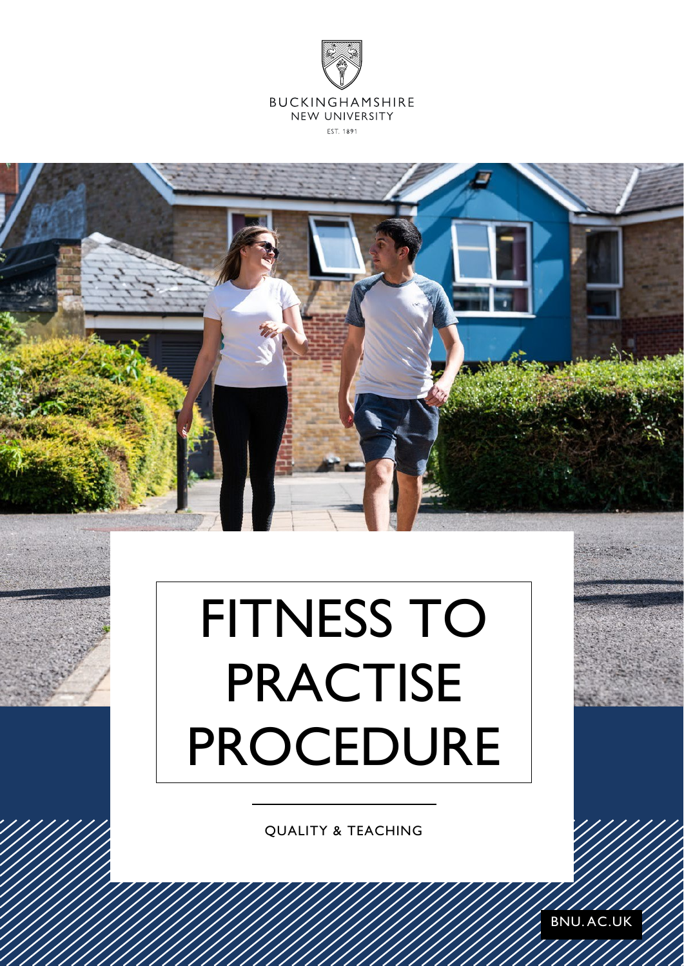

# FITNESS TO PRACTISE PROCEDURE

QUALITY & TEACHING

BNU. AC.UK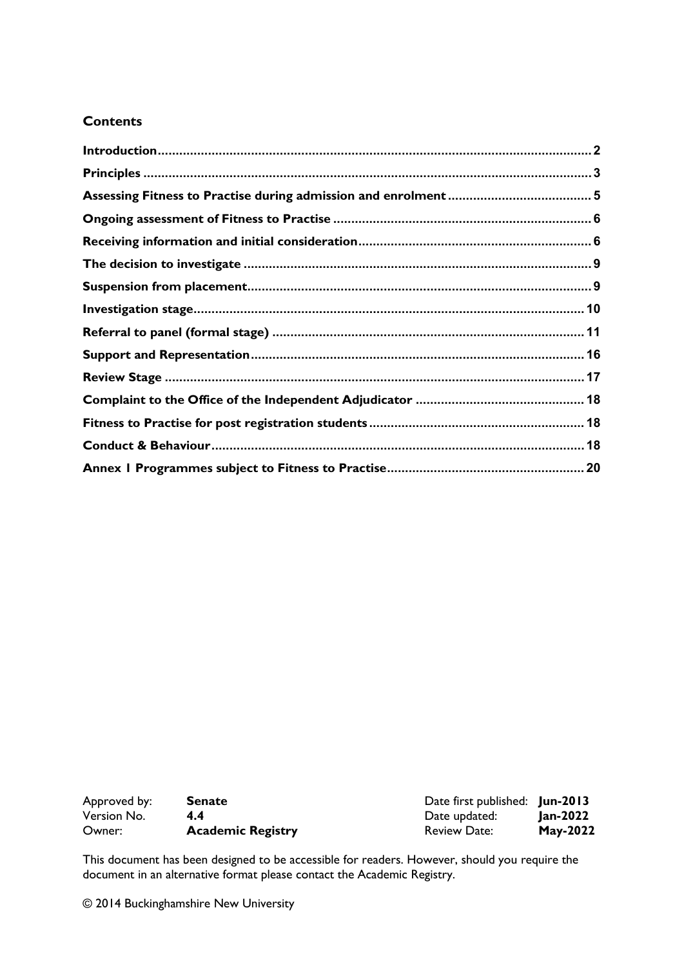#### **Contents**

| Approved by: | <b>Senate</b>            | Date first published: Jun-2013 |                 |
|--------------|--------------------------|--------------------------------|-----------------|
| Version No.  | 44                       | Date updated:                  | Jan-2022        |
| Owner:       | <b>Academic Registry</b> | <b>Review Date:</b>            | <b>May-2022</b> |

This document has been designed to be accessible for readers. However, should you require the document in an alternative format please contact the Academic Registry.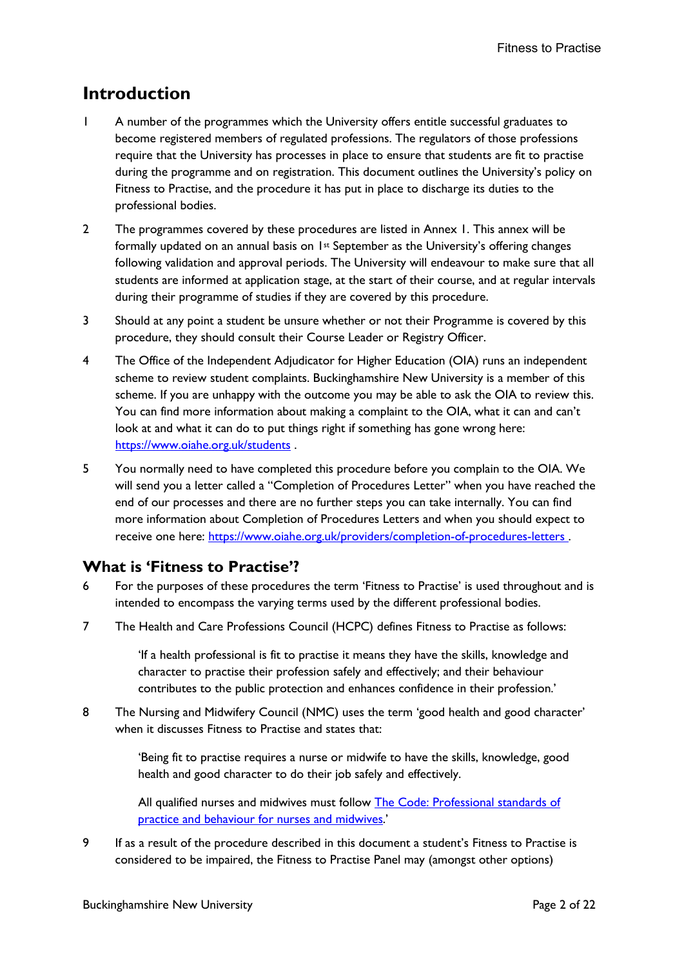## <span id="page-2-0"></span>**Introduction**

- 1 A number of the programmes which the University offers entitle successful graduates to become registered members of regulated professions. The regulators of those professions require that the University has processes in place to ensure that students are fit to practise during the programme and on registration. This document outlines the University's policy on Fitness to Practise, and the procedure it has put in place to discharge its duties to the professional bodies.
- 2 The programmes covered by these procedures are listed in Annex 1. This annex will be formally updated on an annual basis on 1st September as the University's offering changes following validation and approval periods. The University will endeavour to make sure that all students are informed at application stage, at the start of their course, and at regular intervals during their programme of studies if they are covered by this procedure.
- 3 Should at any point a student be unsure whether or not their Programme is covered by this procedure, they should consult their Course Leader or Registry Officer.
- 4 The Office of the Independent Adjudicator for Higher Education (OIA) runs an independent scheme to review student complaints. Buckinghamshire New University is a member of this scheme. If you are unhappy with the outcome you may be able to ask the OIA to review this. You can find more information about making a complaint to the OIA, what it can and can't look at and what it can do to put things right if something has gone wrong here: <https://www.oiahe.org.uk/students> .
- 5 You normally need to have completed this procedure before you complain to the OIA. We will send you a letter called a "Completion of Procedures Letter" when you have reached the end of our processes and there are no further steps you can take internally. You can find more information about Completion of Procedures Letters and when you should expect to receive one here:<https://www.oiahe.org.uk/providers/completion-of-procedures-letters> .

#### **What is 'Fitness to Practise'?**

- 6 For the purposes of these procedures the term 'Fitness to Practise' is used throughout and is intended to encompass the varying terms used by the different professional bodies.
- 7 The Health and Care Professions Council (HCPC) defines Fitness to Practise as follows:

'If a health professional is fit to practise it means they have the skills, knowledge and character to practise their profession safely and effectively; and their behaviour contributes to the public protection and enhances confidence in their profession.'

8 The Nursing and Midwifery Council (NMC) uses the term 'good health and good character' when it discusses Fitness to Practise and states that:

> 'Being fit to practise requires a nurse or midwife to have the skills, knowledge, good health and good character to do their job safely and effectively.

All qualified nurses and midwives must follow The Code: Professional standards of [practice and behaviour for nurses and midwives.](http://www.nmc.org.uk/standards/code/)'

9 If as a result of the procedure described in this document a student's Fitness to Practise is considered to be impaired, the Fitness to Practise Panel may (amongst other options)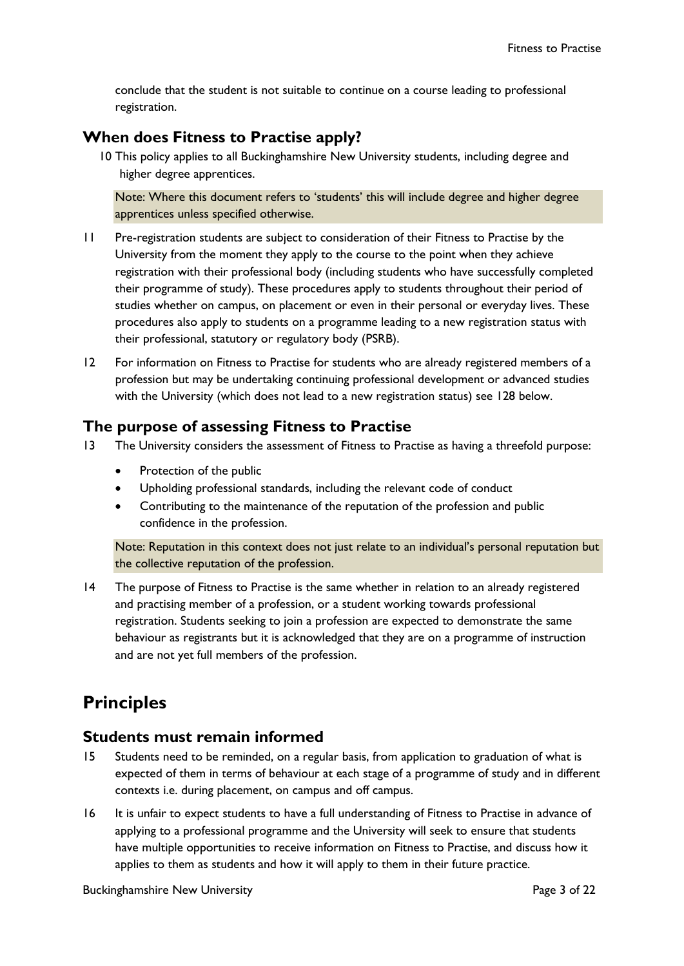conclude that the student is not suitable to continue on a course leading to professional registration.

#### **When does Fitness to Practise apply?**

10 This policy applies to all Buckinghamshire New University students, including degree and higher degree apprentices.

Note: Where this document refers to 'students' this will include degree and higher degree apprentices unless specified otherwise.

- 11 Pre-registration students are subject to consideration of their Fitness to Practise by the University from the moment they apply to the course to the point when they achieve registration with their professional body (including students who have successfully completed their programme of study). These procedures apply to students throughout their period of studies whether on campus, on placement or even in their personal or everyday lives. These procedures also apply to students on a programme leading to a new registration status with their professional, statutory or regulatory body (PSRB).
- 12 For information on Fitness to Practise for students who are already registered members of a profession but may be undertaking continuing professional development or advanced studies with the University (which does not lead to a new registration status) see [128 below.](#page-18-3)

#### **The purpose of assessing Fitness to Practise**

- 13 The University considers the assessment of Fitness to Practise as having a threefold purpose:
	- Protection of the public
	- Upholding professional standards, including the relevant code of conduct
	- Contributing to the maintenance of the reputation of the profession and public confidence in the profession.

Note: Reputation in this context does not just relate to an individual's personal reputation but the collective reputation of the profession.

14 The purpose of Fitness to Practise is the same whether in relation to an already registered and practising member of a profession, or a student working towards professional registration. Students seeking to join a profession are expected to demonstrate the same behaviour as registrants but it is acknowledged that they are on a programme of instruction and are not yet full members of the profession.

# <span id="page-3-0"></span>**Principles**

#### **Students must remain informed**

- 15 Students need to be reminded, on a regular basis, from application to graduation of what is expected of them in terms of behaviour at each stage of a programme of study and in different contexts i.e. during placement, on campus and off campus.
- 16 It is unfair to expect students to have a full understanding of Fitness to Practise in advance of applying to a professional programme and the University will seek to ensure that students have multiple opportunities to receive information on Fitness to Practise, and discuss how it applies to them as students and how it will apply to them in their future practice.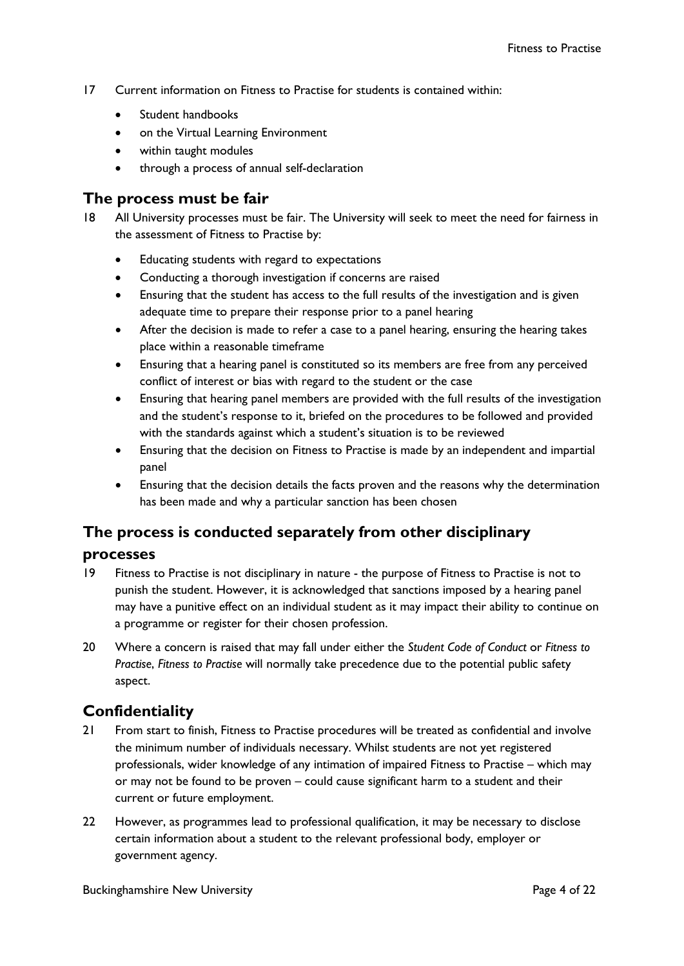- 17 Current information on Fitness to Practise for students is contained within:
	- Student handbooks
	- on the Virtual Learning Environment
	- within taught modules
	- through a process of annual self-declaration

#### **The process must be fair**

- 18 All University processes must be fair. The University will seek to meet the need for fairness in the assessment of Fitness to Practise by:
	- Educating students with regard to expectations
	- Conducting a thorough investigation if concerns are raised
	- Ensuring that the student has access to the full results of the investigation and is given adequate time to prepare their response prior to a panel hearing
	- After the decision is made to refer a case to a panel hearing, ensuring the hearing takes place within a reasonable timeframe
	- Ensuring that a hearing panel is constituted so its members are free from any perceived conflict of interest or bias with regard to the student or the case
	- Ensuring that hearing panel members are provided with the full results of the investigation and the student's response to it, briefed on the procedures to be followed and provided with the standards against which a student's situation is to be reviewed
	- Ensuring that the decision on Fitness to Practise is made by an independent and impartial panel
	- Ensuring that the decision details the facts proven and the reasons why the determination has been made and why a particular sanction has been chosen

### **The process is conducted separately from other disciplinary**

#### **processes**

- 19 Fitness to Practise is not disciplinary in nature the purpose of Fitness to Practise is not to punish the student. However, it is acknowledged that sanctions imposed by a hearing panel may have a punitive effect on an individual student as it may impact their ability to continue on a programme or register for their chosen profession.
- 20 Where a concern is raised that may fall under either the *Student Code of Conduct* or *Fitness to Practise*, *Fitness to Practise* will normally take precedence due to the potential public safety aspect.

#### **Confidentiality**

- 21 From start to finish, Fitness to Practise procedures will be treated as confidential and involve the minimum number of individuals necessary. Whilst students are not yet registered professionals, wider knowledge of any intimation of impaired Fitness to Practise – which may or may not be found to be proven – could cause significant harm to a student and their current or future employment.
- 22 However, as programmes lead to professional qualification, it may be necessary to disclose certain information about a student to the relevant professional body, employer or government agency.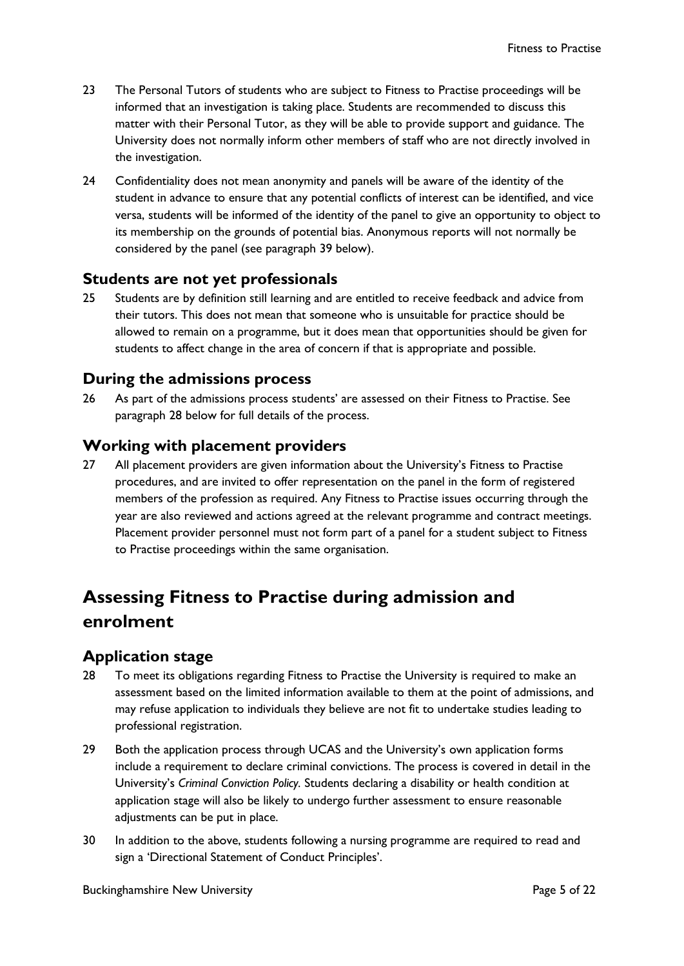- 23 The Personal Tutors of students who are subject to Fitness to Practise proceedings will be informed that an investigation is taking place. Students are recommended to discuss this matter with their Personal Tutor, as they will be able to provide support and guidance. The University does not normally inform other members of staff who are not directly involved in the investigation.
- 24 Confidentiality does not mean anonymity and panels will be aware of the identity of the student in advance to ensure that any potential conflicts of interest can be identified, and vice versa, students will be informed of the identity of the panel to give an opportunity to object to its membership on the grounds of potential bias. Anonymous reports will not normally be considered by the panel (see paragraph 39 below).

#### **Students are not yet professionals**

25 Students are by definition still learning and are entitled to receive feedback and advice from their tutors. This does not mean that someone who is unsuitable for practice should be allowed to remain on a programme, but it does mean that opportunities should be given for students to affect change in the area of concern if that is appropriate and possible.

#### **During the admissions process**

26 As part of the admissions process students' are assessed on their Fitness to Practise. See paragraph [28 below](#page-5-1) for full details of the process.

#### **Working with placement providers**

27 All placement providers are given information about the University's Fitness to Practise procedures, and are invited to offer representation on the panel in the form of registered members of the profession as required. Any Fitness to Practise issues occurring through the year are also reviewed and actions agreed at the relevant programme and contract meetings. Placement provider personnel must not form part of a panel for a student subject to Fitness to Practise proceedings within the same organisation.

# <span id="page-5-0"></span>**Assessing Fitness to Practise during admission and enrolment**

#### **Application stage**

- <span id="page-5-1"></span>28 To meet its obligations regarding Fitness to Practise the University is required to make an assessment based on the limited information available to them at the point of admissions, and may refuse application to individuals they believe are not fit to undertake studies leading to professional registration.
- 29 Both the application process through UCAS and the University's own application forms include a requirement to declare criminal convictions. The process is covered in detail in the University's *Criminal Conviction Policy.* Students declaring a disability or health condition at application stage will also be likely to undergo further assessment to ensure reasonable adjustments can be put in place.
- 30 In addition to the above, students following a nursing programme are required to read and sign a 'Directional Statement of Conduct Principles'.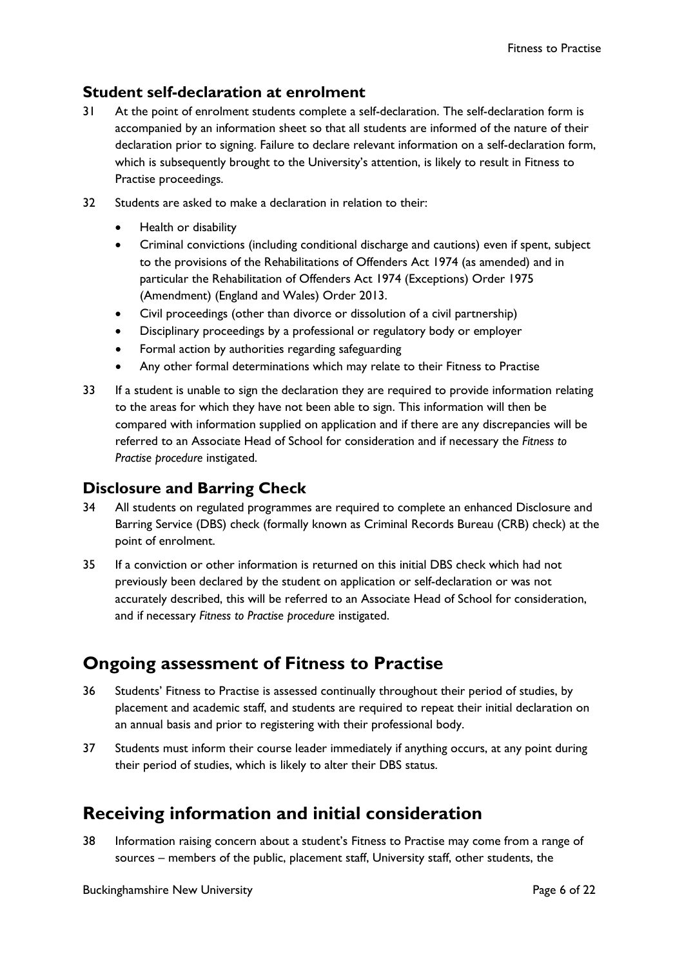## **Student self-declaration at enrolment**

- 31 At the point of enrolment students complete a self-declaration. The self-declaration form is accompanied by an information sheet so that all students are informed of the nature of their declaration prior to signing. Failure to declare relevant information on a self-declaration form, which is subsequently brought to the University's attention, is likely to result in Fitness to Practise proceedings.
- 32 Students are asked to make a declaration in relation to their:
	- Health or disability
	- Criminal convictions (including conditional discharge and cautions) even if spent, subject to the provisions of the Rehabilitations of Offenders Act 1974 (as amended) and in particular the Rehabilitation of Offenders Act 1974 (Exceptions) Order 1975 (Amendment) (England and Wales) Order 2013.
	- Civil proceedings (other than divorce or dissolution of a civil partnership)
	- Disciplinary proceedings by a professional or regulatory body or employer
	- Formal action by authorities regarding safeguarding
	- Any other formal determinations which may relate to their Fitness to Practise
- 33 If a student is unable to sign the declaration they are required to provide information relating to the areas for which they have not been able to sign. This information will then be compared with information supplied on application and if there are any discrepancies will be referred to an Associate Head of School for consideration and if necessary the *Fitness to Practise procedure* instigated.

### **Disclosure and Barring Check**

- 34 All students on regulated programmes are required to complete an enhanced Disclosure and Barring Service (DBS) check (formally known as Criminal Records Bureau (CRB) check) at the point of enrolment.
- 35 If a conviction or other information is returned on this initial DBS check which had not previously been declared by the student on application or self-declaration or was not accurately described, this will be referred to an Associate Head of School for consideration, and if necessary *Fitness to Practise procedure* instigated.

# <span id="page-6-0"></span>**Ongoing assessment of Fitness to Practise**

- 36 Students' Fitness to Practise is assessed continually throughout their period of studies, by placement and academic staff, and students are required to repeat their initial declaration on an annual basis and prior to registering with their professional body.
- 37 Students must inform their course leader immediately if anything occurs, at any point during their period of studies, which is likely to alter their DBS status.

# <span id="page-6-1"></span>**Receiving information and initial consideration**

38 Information raising concern about a student's Fitness to Practise may come from a range of sources – members of the public, placement staff, University staff, other students, the

Buckinghamshire New University **Page 6 of 22** and 22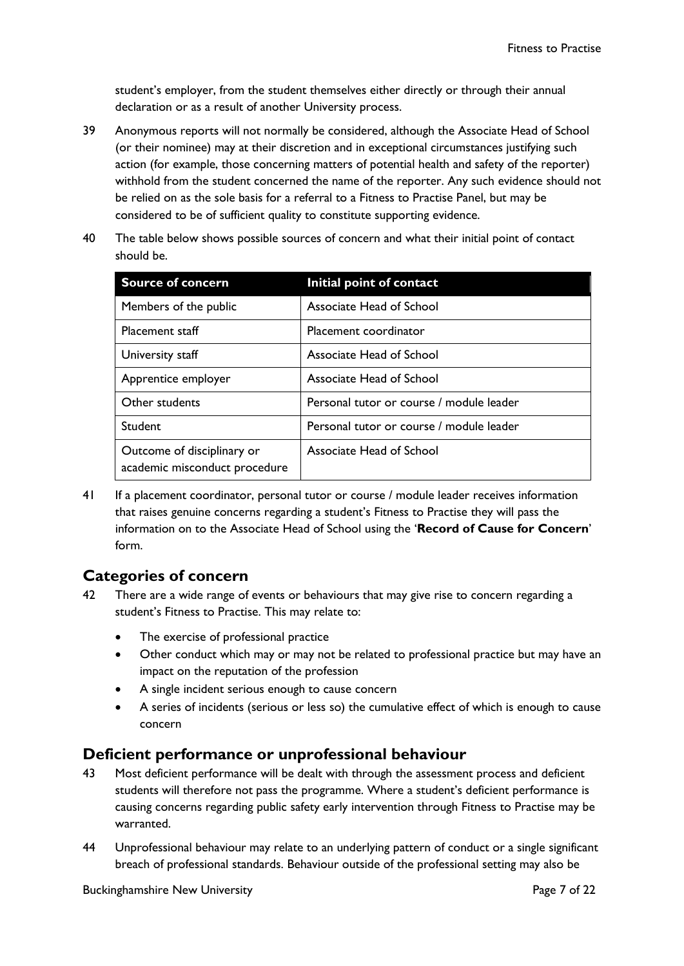student's employer, from the student themselves either directly or through their annual declaration or as a result of another University process.

- 39 Anonymous reports will not normally be considered, although the Associate Head of School (or their nominee) may at their discretion and in exceptional circumstances justifying such action (for example, those concerning matters of potential health and safety of the reporter) withhold from the student concerned the name of the reporter. Any such evidence should not be relied on as the sole basis for a referral to a Fitness to Practise Panel, but may be considered to be of sufficient quality to constitute supporting evidence.
- 40 The table below shows possible sources of concern and what their initial point of contact should be.

| <b>Source of concern</b>                                    | Initial point of contact                 |
|-------------------------------------------------------------|------------------------------------------|
| Members of the public                                       | Associate Head of School                 |
| Placement staff                                             | Placement coordinator                    |
| University staff                                            | Associate Head of School                 |
| Apprentice employer                                         | Associate Head of School                 |
| Other students                                              | Personal tutor or course / module leader |
| Student                                                     | Personal tutor or course / module leader |
| Outcome of disciplinary or<br>academic misconduct procedure | Associate Head of School                 |

41 If a placement coordinator, personal tutor or course / module leader receives information that raises genuine concerns regarding a student's Fitness to Practise they will pass the information on to the Associate Head of School using the '**Record of Cause for Concern**' form.

## **Categories of concern**

- 42 There are a wide range of events or behaviours that may give rise to concern regarding a student's Fitness to Practise. This may relate to:
	- The exercise of professional practice
	- Other conduct which may or may not be related to professional practice but may have an impact on the reputation of the profession
	- A single incident serious enough to cause concern
	- A series of incidents (serious or less so) the cumulative effect of which is enough to cause concern

### **Deficient performance or unprofessional behaviour**

- 43 Most deficient performance will be dealt with through the assessment process and deficient students will therefore not pass the programme. Where a student's deficient performance is causing concerns regarding public safety early intervention through Fitness to Practise may be warranted.
- 44 Unprofessional behaviour may relate to an underlying pattern of conduct or a single significant breach of professional standards. Behaviour outside of the professional setting may also be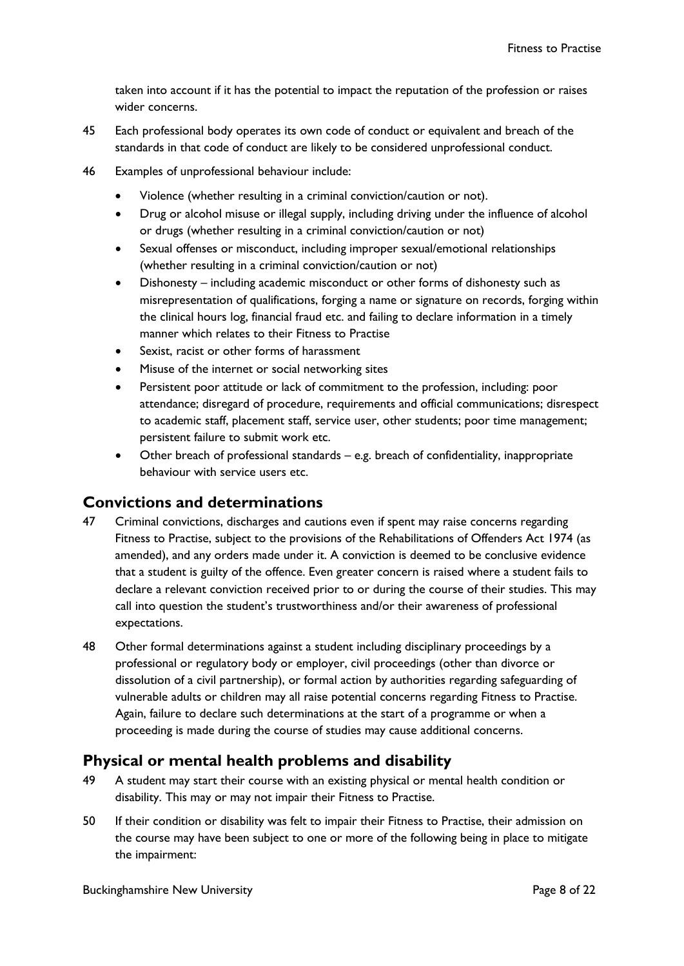taken into account if it has the potential to impact the reputation of the profession or raises wider concerns.

- 45 Each professional body operates its own code of conduct or equivalent and breach of the standards in that code of conduct are likely to be considered unprofessional conduct.
- 46 Examples of unprofessional behaviour include:
	- Violence (whether resulting in a criminal conviction/caution or not).
	- Drug or alcohol misuse or illegal supply, including driving under the influence of alcohol or drugs (whether resulting in a criminal conviction/caution or not)
	- Sexual offenses or misconduct, including improper sexual/emotional relationships (whether resulting in a criminal conviction/caution or not)
	- Dishonesty including academic misconduct or other forms of dishonesty such as misrepresentation of qualifications, forging a name or signature on records, forging within the clinical hours log, financial fraud etc. and failing to declare information in a timely manner which relates to their Fitness to Practise
	- Sexist, racist or other forms of harassment
	- Misuse of the internet or social networking sites
	- Persistent poor attitude or lack of commitment to the profession, including: poor attendance; disregard of procedure, requirements and official communications; disrespect to academic staff, placement staff, service user, other students; poor time management; persistent failure to submit work etc.
	- Other breach of professional standards e.g. breach of confidentiality, inappropriate behaviour with service users etc.

#### **Convictions and determinations**

- 47 Criminal convictions, discharges and cautions even if spent may raise concerns regarding Fitness to Practise, subject to the provisions of the Rehabilitations of Offenders Act 1974 (as amended), and any orders made under it. A conviction is deemed to be conclusive evidence that a student is guilty of the offence. Even greater concern is raised where a student fails to declare a relevant conviction received prior to or during the course of their studies. This may call into question the student's trustworthiness and/or their awareness of professional expectations.
- 48 Other formal determinations against a student including disciplinary proceedings by a professional or regulatory body or employer, civil proceedings (other than divorce or dissolution of a civil partnership), or formal action by authorities regarding safeguarding of vulnerable adults or children may all raise potential concerns regarding Fitness to Practise. Again, failure to declare such determinations at the start of a programme or when a proceeding is made during the course of studies may cause additional concerns.

#### **Physical or mental health problems and disability**

- 49 A student may start their course with an existing physical or mental health condition or disability. This may or may not impair their Fitness to Practise.
- 50 If their condition or disability was felt to impair their Fitness to Practise, their admission on the course may have been subject to one or more of the following being in place to mitigate the impairment: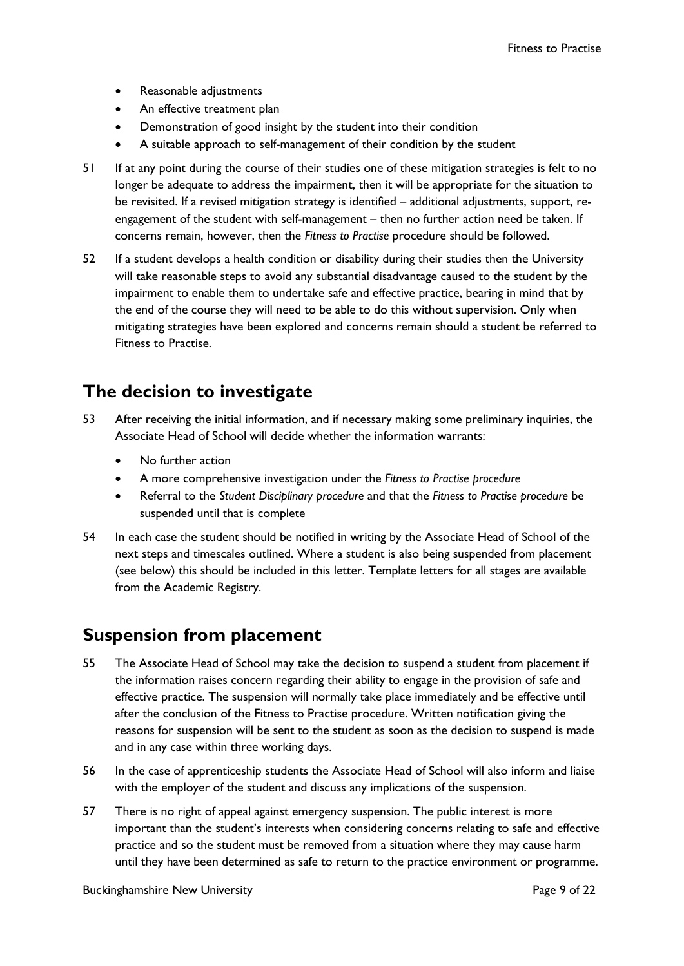- Reasonable adjustments
- An effective treatment plan
- Demonstration of good insight by the student into their condition
- A suitable approach to self-management of their condition by the student
- 51 If at any point during the course of their studies one of these mitigation strategies is felt to no longer be adequate to address the impairment, then it will be appropriate for the situation to be revisited. If a revised mitigation strategy is identified – additional adjustments, support, reengagement of the student with self-management – then no further action need be taken. If concerns remain, however, then the *Fitness to Practise* procedure should be followed.
- 52 If a student develops a health condition or disability during their studies then the University will take reasonable steps to avoid any substantial disadvantage caused to the student by the impairment to enable them to undertake safe and effective practice, bearing in mind that by the end of the course they will need to be able to do this without supervision. Only when mitigating strategies have been explored and concerns remain should a student be referred to Fitness to Practise.

## <span id="page-9-0"></span>**The decision to investigate**

- 53 After receiving the initial information, and if necessary making some preliminary inquiries, the Associate Head of School will decide whether the information warrants:
	- No further action
	- A more comprehensive investigation under the *Fitness to Practise procedure*
	- Referral to the *Student Disciplinary procedure* and that the *Fitness to Practise procedure* be suspended until that is complete
- 54 In each case the student should be notified in writing by the Associate Head of School of the next steps and timescales outlined. Where a student is also being suspended from placement (see below) this should be included in this letter. Template letters for all stages are available from the Academic Registry.

### <span id="page-9-1"></span>**Suspension from placement**

- 55 The Associate Head of School may take the decision to suspend a student from placement if the information raises concern regarding their ability to engage in the provision of safe and effective practice. The suspension will normally take place immediately and be effective until after the conclusion of the Fitness to Practise procedure. Written notification giving the reasons for suspension will be sent to the student as soon as the decision to suspend is made and in any case within three working days.
- 56 In the case of apprenticeship students the Associate Head of School will also inform and liaise with the employer of the student and discuss any implications of the suspension.
- 57 There is no right of appeal against emergency suspension. The public interest is more important than the student's interests when considering concerns relating to safe and effective practice and so the student must be removed from a situation where they may cause harm until they have been determined as safe to return to the practice environment or programme.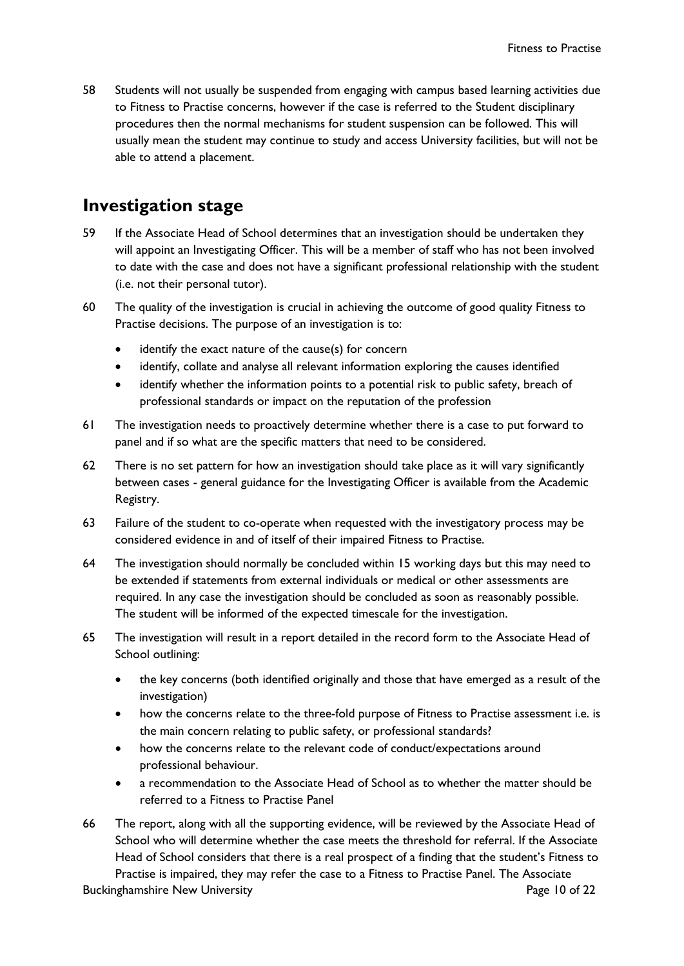58 Students will not usually be suspended from engaging with campus based learning activities due to Fitness to Practise concerns, however if the case is referred to the Student disciplinary procedures then the normal mechanisms for student suspension can be followed. This will usually mean the student may continue to study and access University facilities, but will not be able to attend a placement.

## <span id="page-10-0"></span>**Investigation stage**

- 59 If the Associate Head of School determines that an investigation should be undertaken they will appoint an Investigating Officer. This will be a member of staff who has not been involved to date with the case and does not have a significant professional relationship with the student (i.e. not their personal tutor).
- 60 The quality of the investigation is crucial in achieving the outcome of good quality Fitness to Practise decisions. The purpose of an investigation is to:
	- identify the exact nature of the cause(s) for concern
	- identify, collate and analyse all relevant information exploring the causes identified
	- identify whether the information points to a potential risk to public safety, breach of professional standards or impact on the reputation of the profession
- 61 The investigation needs to proactively determine whether there is a case to put forward to panel and if so what are the specific matters that need to be considered.
- 62 There is no set pattern for how an investigation should take place as it will vary significantly between cases - general guidance for the Investigating Officer is available from the Academic Registry.
- 63 Failure of the student to co-operate when requested with the investigatory process may be considered evidence in and of itself of their impaired Fitness to Practise.
- 64 The investigation should normally be concluded within 15 working days but this may need to be extended if statements from external individuals or medical or other assessments are required. In any case the investigation should be concluded as soon as reasonably possible. The student will be informed of the expected timescale for the investigation.
- 65 The investigation will result in a report detailed in the record form to the Associate Head of School outlining:
	- the key concerns (both identified originally and those that have emerged as a result of the investigation)
	- how the concerns relate to the three-fold purpose of Fitness to Practise assessment i.e. is the main concern relating to public safety, or professional standards?
	- how the concerns relate to the relevant code of conduct/expectations around professional behaviour.
	- a recommendation to the Associate Head of School as to whether the matter should be referred to a Fitness to Practise Panel
- 66 The report, along with all the supporting evidence, will be reviewed by the Associate Head of School who will determine whether the case meets the threshold for referral. If the Associate Head of School considers that there is a real prospect of a finding that the student's Fitness to Practise is impaired, they may refer the case to a Fitness to Practise Panel. The Associate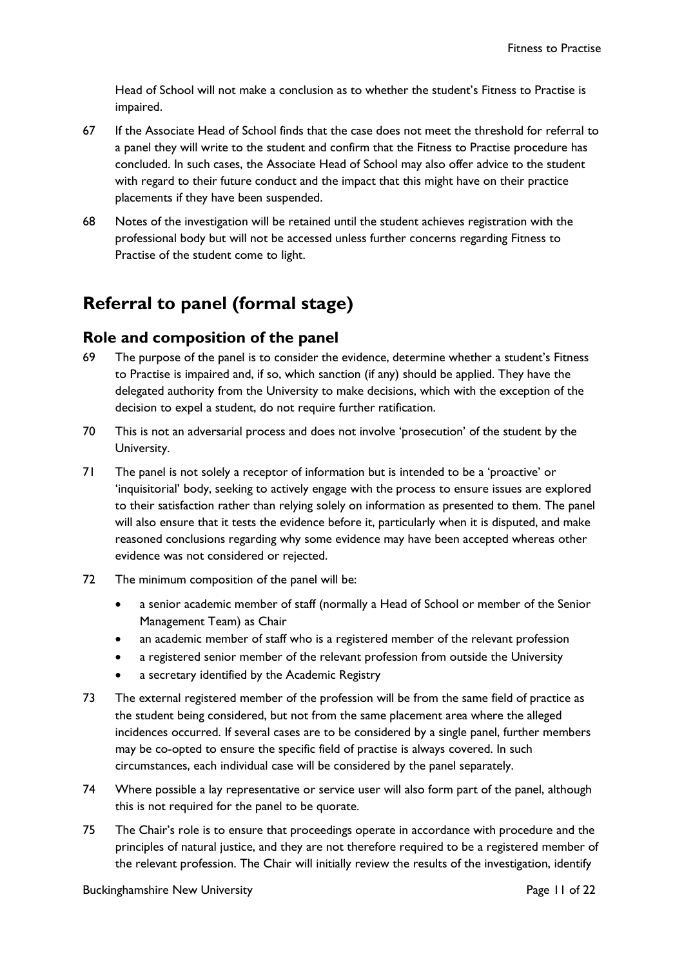Head of School will not make a conclusion as to whether the student's Fitness to Practise is impaired.

- 67 If the Associate Head of School finds that the case does not meet the threshold for referral to a panel they will write to the student and confirm that the Fitness to Practise procedure has concluded. In such cases, the Associate Head of School may also offer advice to the student with regard to their future conduct and the impact that this might have on their practice placements if they have been suspended.
- 68 Notes of the investigation will be retained until the student achieves registration with the professional body but will not be accessed unless further concerns regarding Fitness to Practise of the student come to light.

# <span id="page-11-0"></span>**Referral to panel (formal stage)**

#### **Role and composition of the panel**

- 69 The purpose of the panel is to consider the evidence, determine whether a student's Fitness to Practise is impaired and, if so, which sanction (if any) should be applied. They have the delegated authority from the University to make decisions, which with the exception of the decision to expel a student, do not require further ratification.
- 70 This is not an adversarial process and does not involve 'prosecution' of the student by the University.
- 71 The panel is not solely a receptor of information but is intended to be a 'proactive' or 'inquisitorial' body, seeking to actively engage with the process to ensure issues are explored to their satisfaction rather than relying solely on information as presented to them. The panel will also ensure that it tests the evidence before it, particularly when it is disputed, and make reasoned conclusions regarding why some evidence may have been accepted whereas other evidence was not considered or rejected.
- 72 The minimum composition of the panel will be:
	- a senior academic member of staff (normally a Head of School or member of the Senior Management Team) as Chair
	- an academic member of staff who is a registered member of the relevant profession
	- a registered senior member of the relevant profession from outside the University
	- a secretary identified by the Academic Registry
- 73 The external registered member of the profession will be from the same field of practice as the student being considered, but not from the same placement area where the alleged incidences occurred. If several cases are to be considered by a single panel, further members may be co-opted to ensure the specific field of practise is always covered. In such circumstances, each individual case will be considered by the panel separately.
- 74 Where possible a lay representative or service user will also form part of the panel, although this is not required for the panel to be quorate.
- 75 The Chair's role is to ensure that proceedings operate in accordance with procedure and the principles of natural justice, and they are not therefore required to be a registered member of the relevant profession. The Chair will initially review the results of the investigation, identify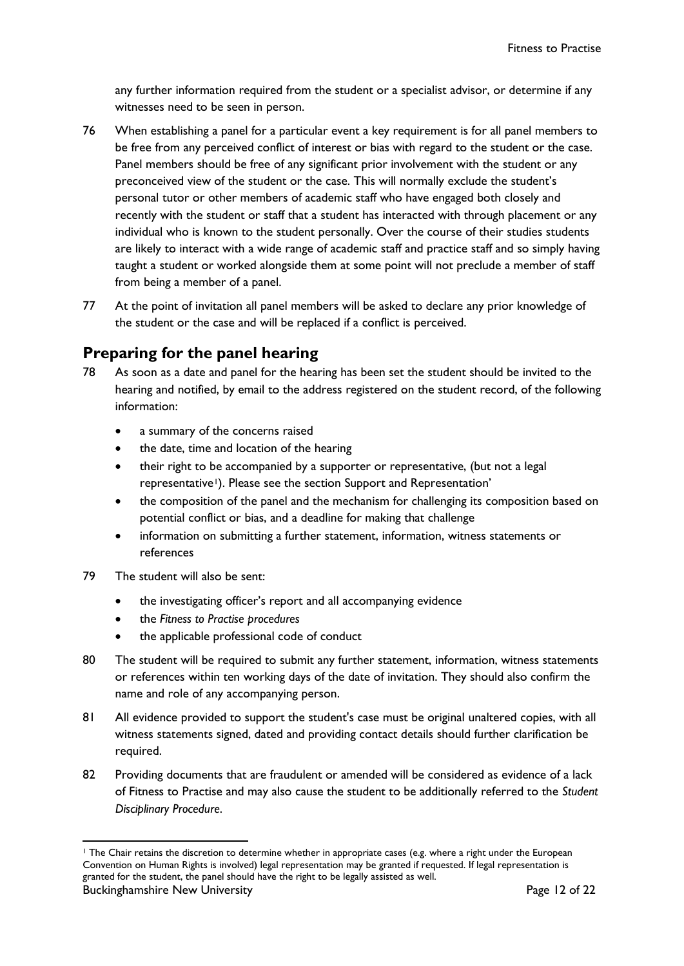any further information required from the student or a specialist advisor, or determine if any witnesses need to be seen in person.

- 76 When establishing a panel for a particular event a key requirement is for all panel members to be free from any perceived conflict of interest or bias with regard to the student or the case. Panel members should be free of any significant prior involvement with the student or any preconceived view of the student or the case. This will normally exclude the student's personal tutor or other members of academic staff who have engaged both closely and recently with the student or staff that a student has interacted with through placement or any individual who is known to the student personally. Over the course of their studies students are likely to interact with a wide range of academic staff and practice staff and so simply having taught a student or worked alongside them at some point will not preclude a member of staff from being a member of a panel.
- 77 At the point of invitation all panel members will be asked to declare any prior knowledge of the student or the case and will be replaced if a conflict is perceived.

## **Preparing for the panel hearing**

- <span id="page-12-1"></span>78 As soon as a date and panel for the hearing has been set the student should be invited to the hearing and notified, by email to the address registered on the student record, of the following information:
	- a summary of the concerns raised
	- the date, time and location of the hearing
	- their right to be accompanied by a supporter or representative, (but not a legal representative<sup>1</sup>). Please see the section Support and Representation'
	- the composition of the panel and the mechanism for challenging its composition based on potential conflict or bias, and a deadline for making that challenge
	- information on submitting a further statement, information, witness statements or references
- 79 The student will also be sent:
	- the investigating officer's report and all accompanying evidence
	- the *Fitness to Practise procedures*
	- the applicable professional code of conduct
- 80 The student will be required to submit any further statement, information, witness statements or references within ten working days of the date of invitation. They should also confirm the name and role of any accompanying person.
- 81 All evidence provided to support the student's case must be original unaltered copies, with all witness statements signed, dated and providing contact details should further clarification be required.
- 82 Providing documents that are fraudulent or amended will be considered as evidence of a lack of Fitness to Practise and may also cause the student to be additionally referred to the *Student Disciplinary Procedure*.

<span id="page-12-0"></span><sup>1</sup> The Chair retains the discretion to determine whether in appropriate cases (e.g. where a right under the European Convention on Human Rights is involved) legal representation may be granted if requested. If legal representation is granted for the student, the panel should have the right to be legally assisted as well.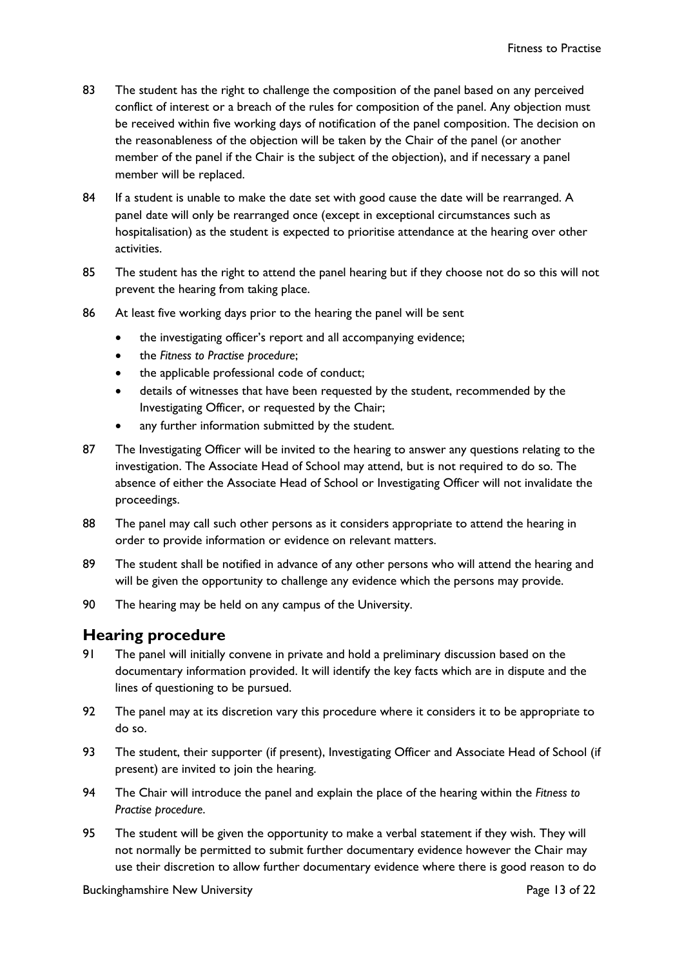- 83 The student has the right to challenge the composition of the panel based on any perceived conflict of interest or a breach of the rules for composition of the panel. Any objection must be received within five working days of notification of the panel composition. The decision on the reasonableness of the objection will be taken by the Chair of the panel (or another member of the panel if the Chair is the subject of the objection), and if necessary a panel member will be replaced.
- 84 If a student is unable to make the date set with good cause the date will be rearranged. A panel date will only be rearranged once (except in exceptional circumstances such as hospitalisation) as the student is expected to prioritise attendance at the hearing over other activities.
- 85 The student has the right to attend the panel hearing but if they choose not do so this will not prevent the hearing from taking place.
- 86 At least five working days prior to the hearing the panel will be sent
	- the investigating officer's report and all accompanying evidence;
	- the *Fitness to Practise procedure*;
	- the applicable professional code of conduct;
	- details of witnesses that have been requested by the student, recommended by the Investigating Officer, or requested by the Chair;
	- any further information submitted by the student.
- 87 The Investigating Officer will be invited to the hearing to answer any questions relating to the investigation. The Associate Head of School may attend, but is not required to do so. The absence of either the Associate Head of School or Investigating Officer will not invalidate the proceedings.
- 88 The panel may call such other persons as it considers appropriate to attend the hearing in order to provide information or evidence on relevant matters.
- 89 The student shall be notified in advance of any other persons who will attend the hearing and will be given the opportunity to challenge any evidence which the persons may provide.
- 90 The hearing may be held on any campus of the University.

#### **Hearing procedure**

- 91 The panel will initially convene in private and hold a preliminary discussion based on the documentary information provided. It will identify the key facts which are in dispute and the lines of questioning to be pursued.
- 92 The panel may at its discretion vary this procedure where it considers it to be appropriate to do so.
- 93 The student, their supporter (if present), Investigating Officer and Associate Head of School (if present) are invited to join the hearing.
- 94 The Chair will introduce the panel and explain the place of the hearing within the *Fitness to Practise procedure*.
- 95 The student will be given the opportunity to make a verbal statement if they wish. They will not normally be permitted to submit further documentary evidence however the Chair may use their discretion to allow further documentary evidence where there is good reason to do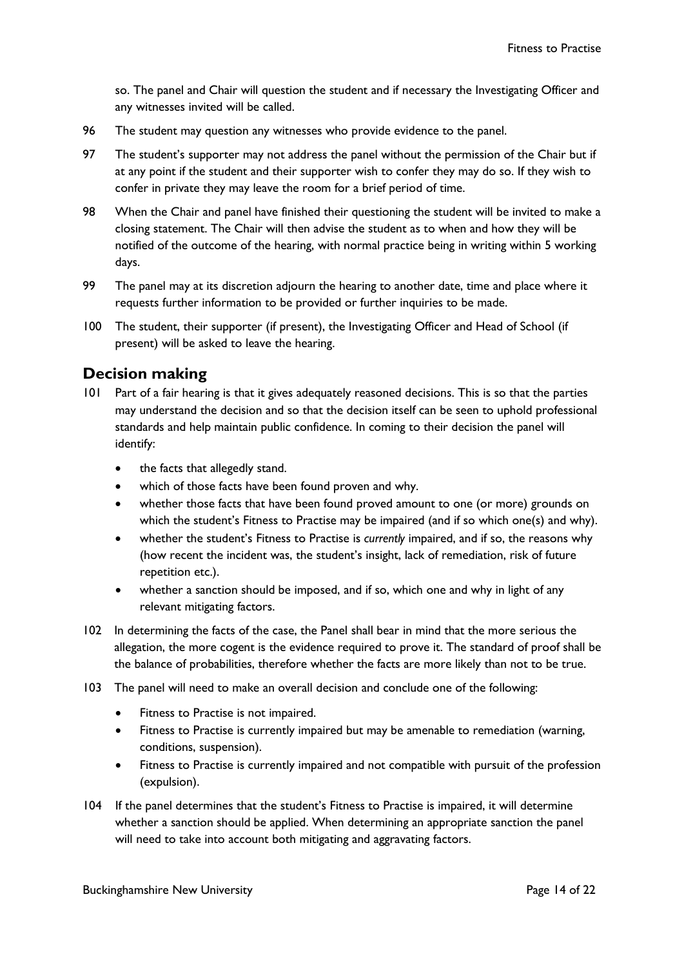so. The panel and Chair will question the student and if necessary the Investigating Officer and any witnesses invited will be called.

- 96 The student may question any witnesses who provide evidence to the panel.
- 97 The student's supporter may not address the panel without the permission of the Chair but if at any point if the student and their supporter wish to confer they may do so. If they wish to confer in private they may leave the room for a brief period of time.
- 98 When the Chair and panel have finished their questioning the student will be invited to make a closing statement. The Chair will then advise the student as to when and how they will be notified of the outcome of the hearing, with normal practice being in writing within 5 working days.
- 99 The panel may at its discretion adjourn the hearing to another date, time and place where it requests further information to be provided or further inquiries to be made.
- 100 The student, their supporter (if present), the Investigating Officer and Head of School (if present) will be asked to leave the hearing.

#### **Decision making**

- 101 Part of a fair hearing is that it gives adequately reasoned decisions. This is so that the parties may understand the decision and so that the decision itself can be seen to uphold professional standards and help maintain public confidence. In coming to their decision the panel will identify:
	- the facts that allegedly stand.
	- which of those facts have been found proven and why.
	- whether those facts that have been found proved amount to one (or more) grounds on which the student's Fitness to Practise may be impaired (and if so which one(s) and why).
	- whether the student's Fitness to Practise is *currently* impaired, and if so, the reasons why (how recent the incident was, the student's insight, lack of remediation, risk of future repetition etc.).
	- whether a sanction should be imposed, and if so, which one and why in light of any relevant mitigating factors.
- 102 In determining the facts of the case, the Panel shall bear in mind that the more serious the allegation, the more cogent is the evidence required to prove it. The standard of proof shall be the balance of probabilities, therefore whether the facts are more likely than not to be true.
- 103 The panel will need to make an overall decision and conclude one of the following:
	- Fitness to Practise is not impaired.
	- Fitness to Practise is currently impaired but may be amenable to remediation (warning, conditions, suspension).
	- Fitness to Practise is currently impaired and not compatible with pursuit of the profession (expulsion).
- 104 If the panel determines that the student's Fitness to Practise is impaired, it will determine whether a sanction should be applied. When determining an appropriate sanction the panel will need to take into account both mitigating and aggravating factors.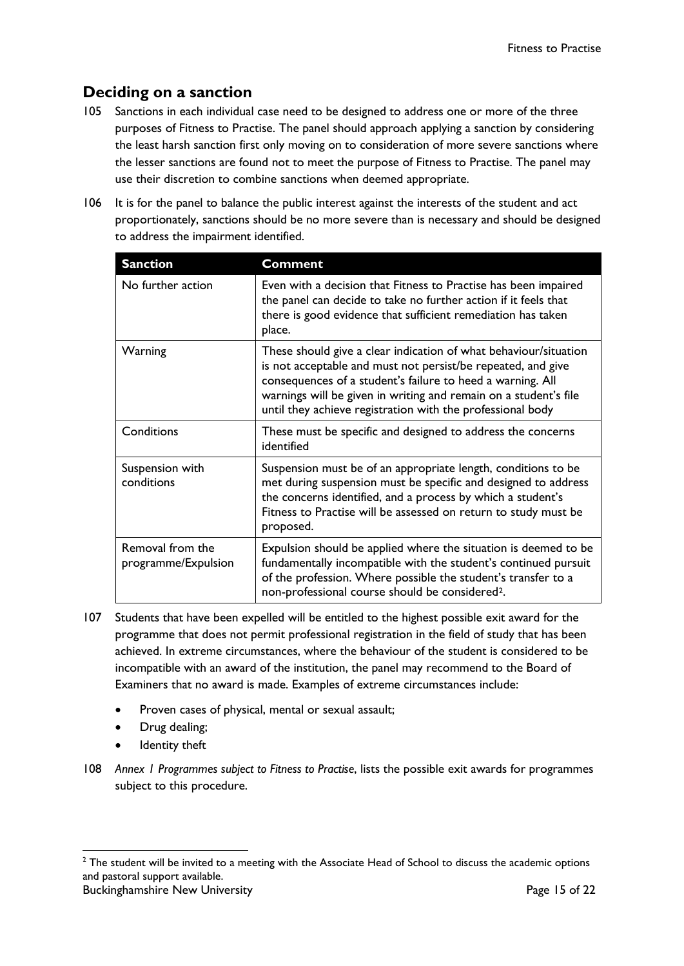## **Deciding on a sanction**

- 105 Sanctions in each individual case need to be designed to address one or more of the three purposes of Fitness to Practise. The panel should approach applying a sanction by considering the least harsh sanction first only moving on to consideration of more severe sanctions where the lesser sanctions are found not to meet the purpose of Fitness to Practise. The panel may use their discretion to combine sanctions when deemed appropriate.
- 106 It is for the panel to balance the public interest against the interests of the student and act proportionately, sanctions should be no more severe than is necessary and should be designed to address the impairment identified.

| <b>Sanction</b>                         | <b>Comment</b>                                                                                                                                                                                                                                                                                                                   |
|-----------------------------------------|----------------------------------------------------------------------------------------------------------------------------------------------------------------------------------------------------------------------------------------------------------------------------------------------------------------------------------|
| No further action                       | Even with a decision that Fitness to Practise has been impaired<br>the panel can decide to take no further action if it feels that<br>there is good evidence that sufficient remediation has taken<br>place.                                                                                                                     |
| Warning                                 | These should give a clear indication of what behaviour/situation<br>is not acceptable and must not persist/be repeated, and give<br>consequences of a student's failure to heed a warning. All<br>warnings will be given in writing and remain on a student's file<br>until they achieve registration with the professional body |
| Conditions                              | These must be specific and designed to address the concerns<br>identified                                                                                                                                                                                                                                                        |
| Suspension with<br>conditions           | Suspension must be of an appropriate length, conditions to be<br>met during suspension must be specific and designed to address<br>the concerns identified, and a process by which a student's<br>Fitness to Practise will be assessed on return to study must be<br>proposed.                                                   |
| Removal from the<br>programme/Expulsion | Expulsion should be applied where the situation is deemed to be<br>fundamentally incompatible with the student's continued pursuit<br>of the profession. Where possible the student's transfer to a<br>non-professional course should be considered <sup>2</sup> .                                                               |

- 107 Students that have been expelled will be entitled to the highest possible exit award for the programme that does not permit professional registration in the field of study that has been achieved. In extreme circumstances, where the behaviour of the student is considered to be incompatible with an award of the institution, the panel may recommend to the Board of Examiners that no award is made. Examples of extreme circumstances include:
	- Proven cases of physical, mental or sexual assault;
	- Drug dealing;
	- Identity theft
- 108 *Annex 1 Programmes subject to Fitness to Practise*, lists the possible exit awards for programmes subject to this procedure.

<span id="page-15-0"></span>Buckinghamshire New University **Page 15 of 22** and the Page 15 of 22  $2$  The student will be invited to a meeting with the Associate Head of School to discuss the academic options and pastoral support available.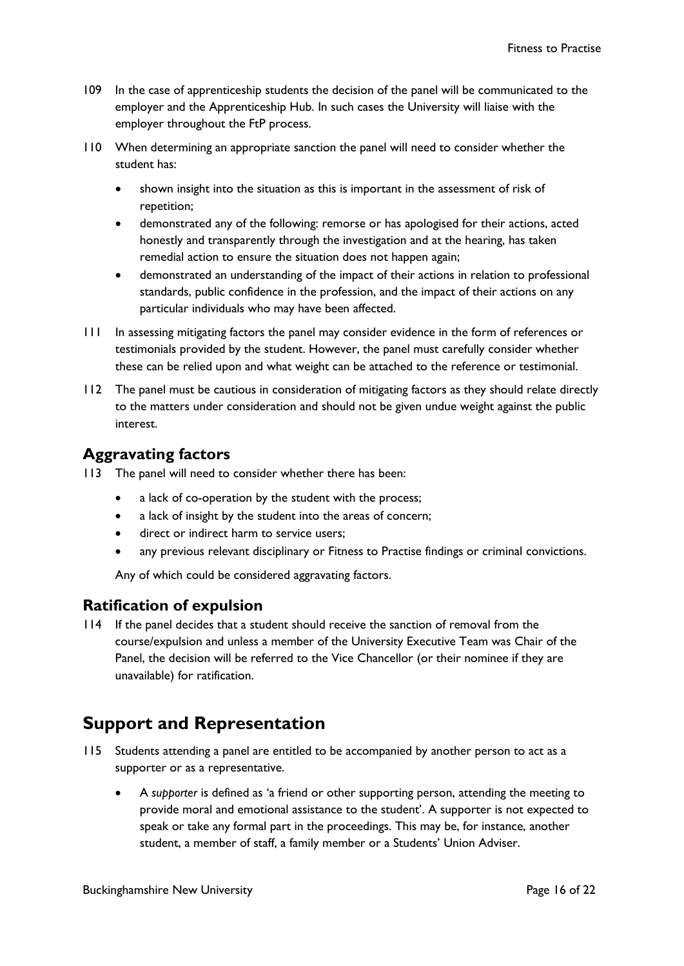- 109 In the case of apprenticeship students the decision of the panel will be communicated to the employer and the Apprenticeship Hub. In such cases the University will liaise with the employer throughout the FtP process.
- 110 When determining an appropriate sanction the panel will need to consider whether the student has:
	- shown insight into the situation as this is important in the assessment of risk of repetition;
	- demonstrated any of the following: remorse or has apologised for their actions, acted honestly and transparently through the investigation and at the hearing, has taken remedial action to ensure the situation does not happen again;
	- demonstrated an understanding of the impact of their actions in relation to professional standards, public confidence in the profession, and the impact of their actions on any particular individuals who may have been affected.
- 111 In assessing mitigating factors the panel may consider evidence in the form of references or testimonials provided by the student. However, the panel must carefully consider whether these can be relied upon and what weight can be attached to the reference or testimonial.
- 112 The panel must be cautious in consideration of mitigating factors as they should relate directly to the matters under consideration and should not be given undue weight against the public interest.

### **Aggravating factors**

113 The panel will need to consider whether there has been:

- a lack of co-operation by the student with the process;
- a lack of insight by the student into the areas of concern;
- direct or indirect harm to service users;
- any previous relevant disciplinary or Fitness to Practise findings or criminal convictions.

Any of which could be considered aggravating factors.

#### **Ratification of expulsion**

114 If the panel decides that a student should receive the sanction of removal from the course/expulsion and unless a member of the University Executive Team was Chair of the Panel, the decision will be referred to the Vice Chancellor (or their nominee if they are unavailable) for ratification.

# <span id="page-16-0"></span>**Support and Representation**

- 115 Students attending a panel are entitled to be accompanied by another person to act as a supporter or as a representative.
	- A *supporter* is defined as 'a friend or other supporting person, attending the meeting to provide moral and emotional assistance to the student'. A supporter is not expected to speak or take any formal part in the proceedings. This may be, for instance, another student, a member of staff, a family member or a Students' Union Adviser.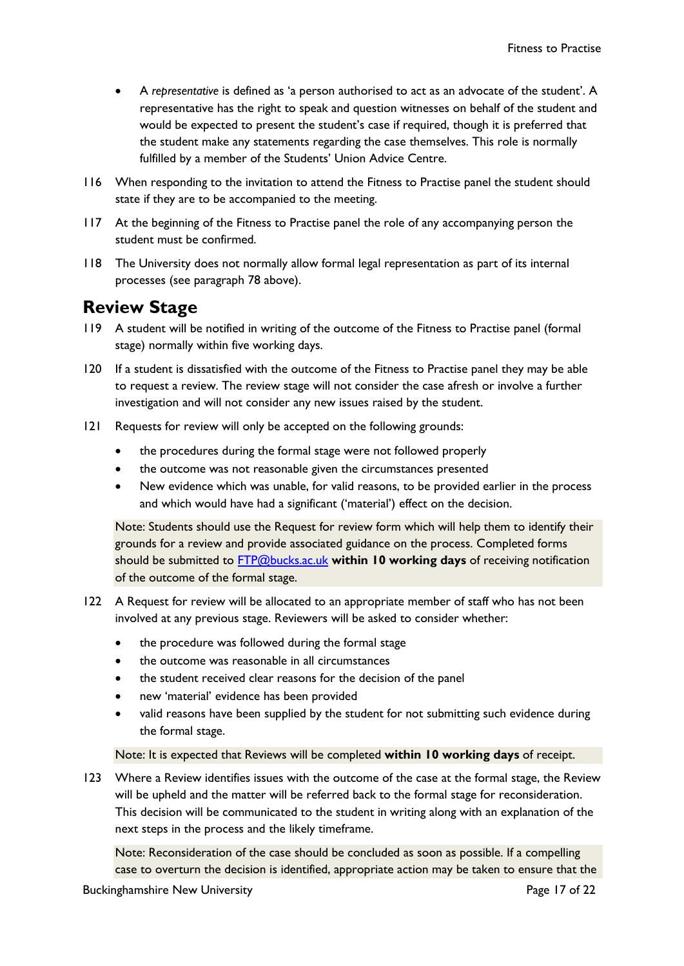- A *representative* is defined as 'a person authorised to act as an advocate of the student'. A representative has the right to speak and question witnesses on behalf of the student and would be expected to present the student's case if required, though it is preferred that the student make any statements regarding the case themselves. This role is normally fulfilled by a member of the Students' Union Advice Centre.
- 116 When responding to the invitation to attend the Fitness to Practise panel the student should state if they are to be accompanied to the meeting.
- 117 At the beginning of the Fitness to Practise panel the role of any accompanying person the student must be confirmed.
- 118 The University does not normally allow formal legal representation as part of its internal processes (see paragraph [78 above\)](#page-12-1).

## <span id="page-17-0"></span>**Review Stage**

- 119 A student will be notified in writing of the outcome of the Fitness to Practise panel (formal stage) normally within five working days.
- 120 If a student is dissatisfied with the outcome of the Fitness to Practise panel they may be able to request a review. The review stage will not consider the case afresh or involve a further investigation and will not consider any new issues raised by the student.
- 121 Requests for review will only be accepted on the following grounds:
	- the procedures during the formal stage were not followed properly
	- the outcome was not reasonable given the circumstances presented
	- New evidence which was unable, for valid reasons, to be provided earlier in the process and which would have had a significant ('material') effect on the decision.

Note: Students should use the Request for review form which will help them to identify their grounds for a review and provide associated guidance on the process. Completed forms should be submitted to [FTP@bucks.ac.uk](mailto:FTP@bucks.ac.uk) **within 10 working days** of receiving notification of the outcome of the formal stage.

- 122 A Request for review will be allocated to an appropriate member of staff who has not been involved at any previous stage. Reviewers will be asked to consider whether:
	- the procedure was followed during the formal stage
	- the outcome was reasonable in all circumstances
	- the student received clear reasons for the decision of the panel
	- new 'material' evidence has been provided
	- valid reasons have been supplied by the student for not submitting such evidence during the formal stage.

#### Note: It is expected that Reviews will be completed **within 10 working days** of receipt.

123 Where a Review identifies issues with the outcome of the case at the formal stage, the Review will be upheld and the matter will be referred back to the formal stage for reconsideration. This decision will be communicated to the student in writing along with an explanation of the next steps in the process and the likely timeframe.

Note: Reconsideration of the case should be concluded as soon as possible. If a compelling case to overturn the decision is identified, appropriate action may be taken to ensure that the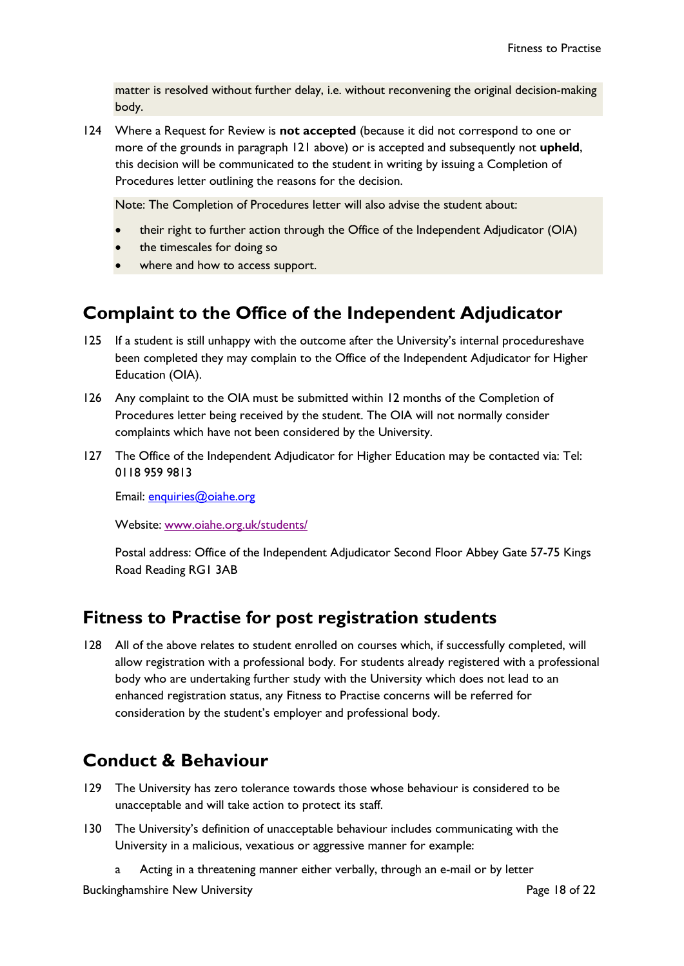matter is resolved without further delay, i.e. without reconvening the original decision-making body.

124 Where a Request for Review is **not accepted** (because it did not correspond to one or more of the grounds in paragraph 121 above) or is accepted and subsequently not **upheld**, this decision will be communicated to the student in writing by issuing a Completion of Procedures letter outlining the reasons for the decision.

Note: The Completion of Procedures letter will also advise the student about:

- their right to further action through the Office of the Independent Adjudicator (OIA)
- the timescales for doing so
- where and how to access support.

# <span id="page-18-0"></span>**Complaint to the Office of the Independent Adjudicator**

- 125 If a student is still unhappy with the outcome after the University's internal procedureshave been completed they may complain to the Office of the Independent Adjudicator for Higher Education (OIA).
- 126 Any complaint to the OIA must be submitted within 12 months of the Completion of Procedures letter being received by the student. The OIA will not normally consider complaints which have not been considered by the University.
- 127 The Office of the Independent Adjudicator for Higher Education may be contacted via: Tel: 0118 959 9813

Email: [enquiries@oiahe.org](mailto:enquiries@oiahe.org)

Website: [www.oiahe.org.uk/students/](http://www.oiahe.org.uk/students/)

Postal address: Office of the Independent Adjudicator Second Floor Abbey Gate 57-75 Kings Road Reading RG1 3AB

## <span id="page-18-1"></span>**Fitness to Practise for post registration students**

<span id="page-18-3"></span>128 All of the above relates to student enrolled on courses which, if successfully completed, will allow registration with a professional body. For students already registered with a professional body who are undertaking further study with the University which does not lead to an enhanced registration status, any Fitness to Practise concerns will be referred for consideration by the student's employer and professional body.

# <span id="page-18-2"></span>**Conduct & Behaviour**

- 129 The University has zero tolerance towards those whose behaviour is considered to be unacceptable and will take action to protect its staff.
- 130 The University's definition of unacceptable behaviour includes communicating with the University in a malicious, vexatious or aggressive manner for example:
	- a Acting in a threatening manner either verbally, through an e-mail or by letter

Buckinghamshire New University **Page 18 of 22** and 22 and 22 and 22 and 22 and 22 and 22 and 22 and 22 and 22 and 22 and 22 and 22 and 22 and 22 and 22 and 22 and 22 and 22 and 22 and 22 and 22 and 22 and 22 and 22 and 22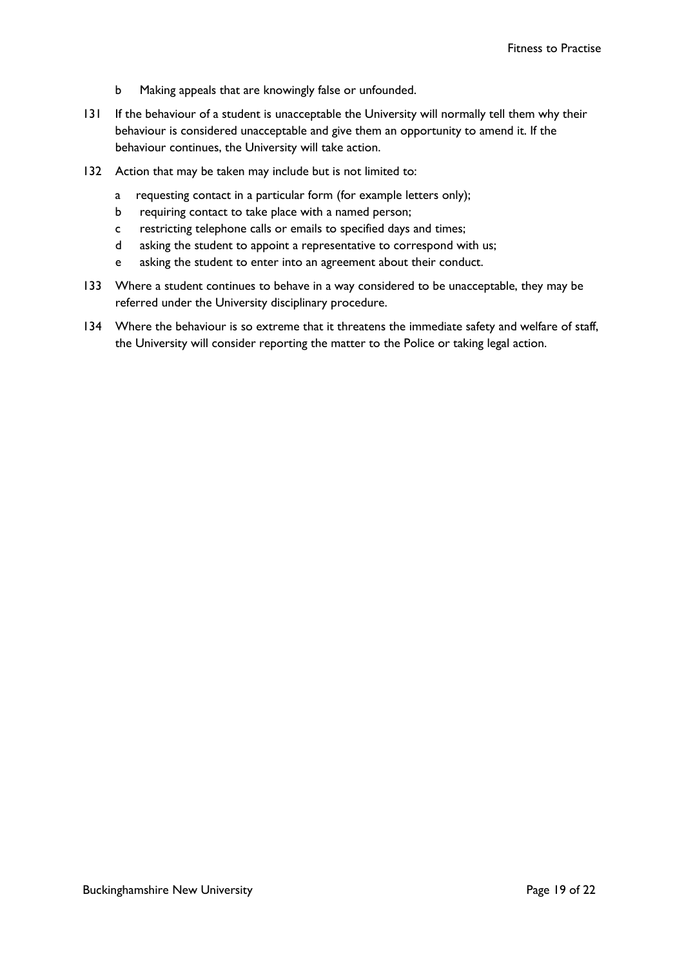- b Making appeals that are knowingly false or unfounded.
- 131 If the behaviour of a student is unacceptable the University will normally tell them why their behaviour is considered unacceptable and give them an opportunity to amend it. If the behaviour continues, the University will take action.
- 132 Action that may be taken may include but is not limited to:
	- a requesting contact in a particular form (for example letters only);
	- b requiring contact to take place with a named person;
	- c restricting telephone calls or emails to specified days and times;
	- d asking the student to appoint a representative to correspond with us;
	- e asking the student to enter into an agreement about their conduct.
- 133 Where a student continues to behave in a way considered to be unacceptable, they may be referred under the University disciplinary procedure.
- 134 Where the behaviour is so extreme that it threatens the immediate safety and welfare of staff, the University will consider reporting the matter to the Police or taking legal action.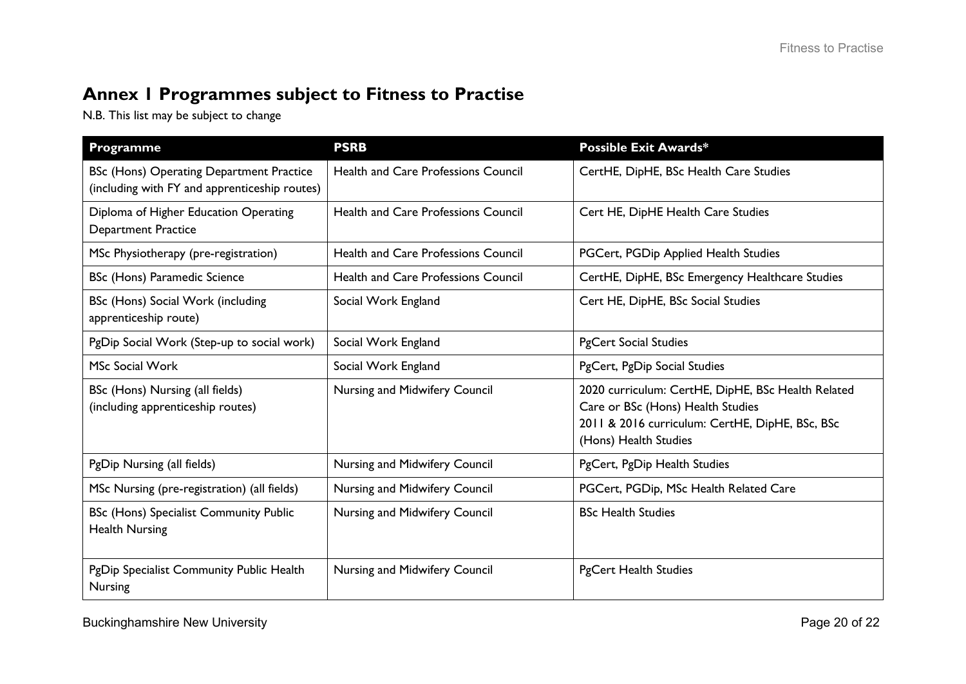# **Annex 1 Programmes subject to Fitness to Practise**

N.B. This list may be subject to change

<span id="page-20-0"></span>

| Programme                                                                                        | <b>PSRB</b>                                | <b>Possible Exit Awards*</b>                                                                                                                                        |
|--------------------------------------------------------------------------------------------------|--------------------------------------------|---------------------------------------------------------------------------------------------------------------------------------------------------------------------|
| <b>BSc (Hons) Operating Department Practice</b><br>(including with FY and apprenticeship routes) | <b>Health and Care Professions Council</b> | CertHE, DipHE, BSc Health Care Studies                                                                                                                              |
| Diploma of Higher Education Operating<br><b>Department Practice</b>                              | <b>Health and Care Professions Council</b> | Cert HE, DipHE Health Care Studies                                                                                                                                  |
| MSc Physiotherapy (pre-registration)                                                             | <b>Health and Care Professions Council</b> | PGCert, PGDip Applied Health Studies                                                                                                                                |
| BSc (Hons) Paramedic Science                                                                     | <b>Health and Care Professions Council</b> | CertHE, DipHE, BSc Emergency Healthcare Studies                                                                                                                     |
| BSc (Hons) Social Work (including<br>apprenticeship route)                                       | Social Work England                        | Cert HE, DipHE, BSc Social Studies                                                                                                                                  |
| PgDip Social Work (Step-up to social work)                                                       | Social Work England                        | <b>PgCert Social Studies</b>                                                                                                                                        |
| <b>MSc Social Work</b>                                                                           | Social Work England                        | PgCert, PgDip Social Studies                                                                                                                                        |
| BSc (Hons) Nursing (all fields)<br>(including apprenticeship routes)                             | Nursing and Midwifery Council              | 2020 curriculum: CertHE, DipHE, BSc Health Related<br>Care or BSc (Hons) Health Studies<br>2011 & 2016 curriculum: CertHE, DipHE, BSc, BSc<br>(Hons) Health Studies |
| PgDip Nursing (all fields)                                                                       | Nursing and Midwifery Council              | PgCert, PgDip Health Studies                                                                                                                                        |
| MSc Nursing (pre-registration) (all fields)                                                      | Nursing and Midwifery Council              | PGCert, PGDip, MSc Health Related Care                                                                                                                              |
| <b>BSc (Hons) Specialist Community Public</b><br><b>Health Nursing</b>                           | Nursing and Midwifery Council              | <b>BSc Health Studies</b>                                                                                                                                           |
| PgDip Specialist Community Public Health<br><b>Nursing</b>                                       | Nursing and Midwifery Council              | <b>PgCert Health Studies</b>                                                                                                                                        |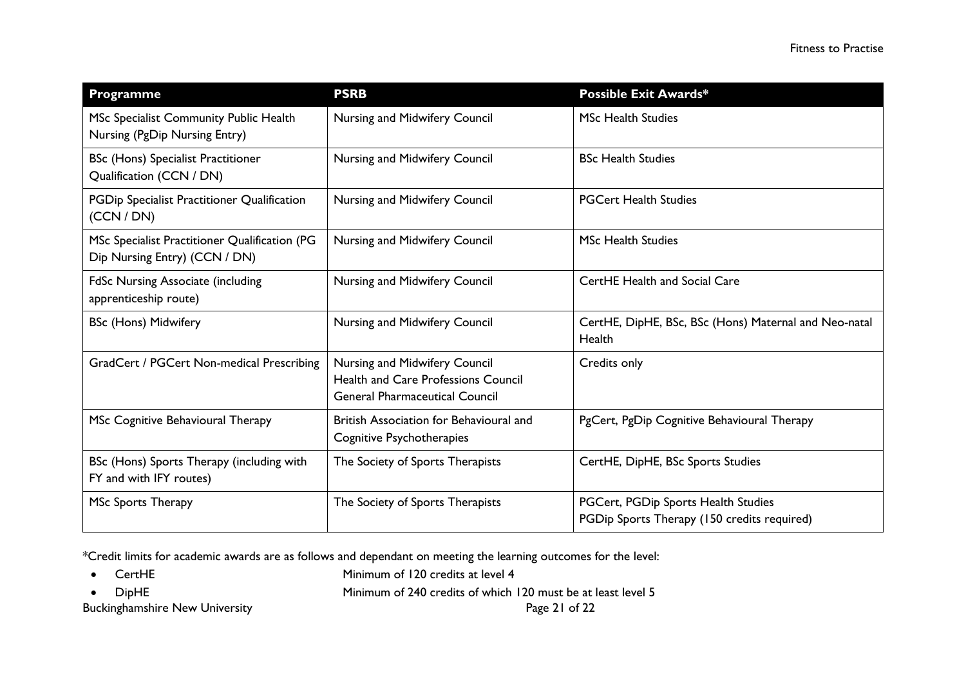| Programme                                                                      | <b>PSRB</b>                                                                                                          | <b>Possible Exit Awards*</b>                                                       |
|--------------------------------------------------------------------------------|----------------------------------------------------------------------------------------------------------------------|------------------------------------------------------------------------------------|
| MSc Specialist Community Public Health<br>Nursing (PgDip Nursing Entry)        | Nursing and Midwifery Council                                                                                        | <b>MSc Health Studies</b>                                                          |
| <b>BSc (Hons) Specialist Practitioner</b><br>Qualification (CCN / DN)          | Nursing and Midwifery Council                                                                                        | <b>BSc Health Studies</b>                                                          |
| PGDip Specialist Practitioner Qualification<br>(CCN / DN)                      | Nursing and Midwifery Council                                                                                        | <b>PGCert Health Studies</b>                                                       |
| MSc Specialist Practitioner Qualification (PG<br>Dip Nursing Entry) (CCN / DN) | Nursing and Midwifery Council                                                                                        | <b>MSc Health Studies</b>                                                          |
| <b>FdSc Nursing Associate (including</b><br>apprenticeship route)              | Nursing and Midwifery Council                                                                                        | <b>CertHE Health and Social Care</b>                                               |
| <b>BSc (Hons) Midwifery</b>                                                    | Nursing and Midwifery Council                                                                                        | CertHE, DipHE, BSc, BSc (Hons) Maternal and Neo-natal<br>Health                    |
| GradCert / PGCert Non-medical Prescribing                                      | Nursing and Midwifery Council<br><b>Health and Care Professions Council</b><br><b>General Pharmaceutical Council</b> | Credits only                                                                       |
| MSc Cognitive Behavioural Therapy                                              | British Association for Behavioural and<br>Cognitive Psychotherapies                                                 | PgCert, PgDip Cognitive Behavioural Therapy                                        |
| BSc (Hons) Sports Therapy (including with<br>FY and with IFY routes)           | The Society of Sports Therapists                                                                                     | CertHE, DipHE, BSc Sports Studies                                                  |
| MSc Sports Therapy                                                             | The Society of Sports Therapists                                                                                     | PGCert, PGDip Sports Health Studies<br>PGDip Sports Therapy (150 credits required) |

\*Credit limits for academic awards are as follows and dependant on meeting the learning outcomes for the level:

• CertHE Minimum of 120 credits at level 4

Buckinghamshire New University **Page 21 of 22** Page 21 of 22

• DipHE Minimum of 240 credits of which 120 must be at least level 5